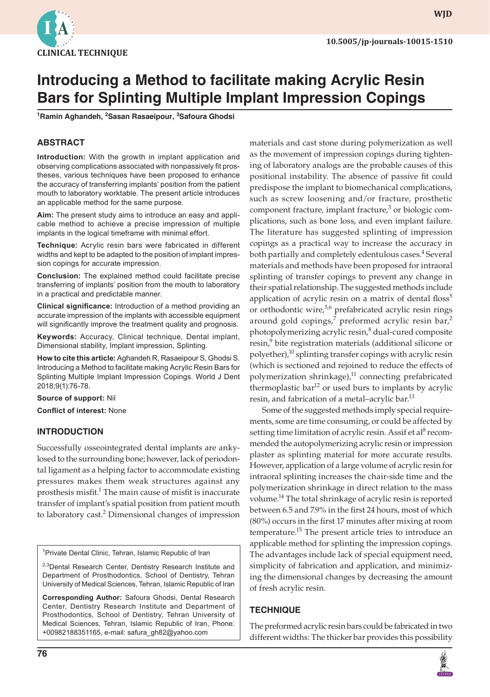

**wjd**

# **Introducing a Method to facilitate making Acrylic Resin Bars for Splinting Multiple Implant Impression Copings**

**1 Ramin Aghandeh, 2 Sasan Rasaeipour, <sup>3</sup> Safoura Ghodsi**

### **ABSTRACT**

**Introduction:** With the growth in implant application and observing complications associated with nonpassively fit prostheses, various techniques have been proposed to enhance the accuracy of transferring implants' position from the patient mouth to laboratory worktable. The present article introduces an applicable method for the same purpose.

**Aim:** The present study aims to introduce an easy and applicable method to achieve a precise impression of multiple implants in the logical timeframe with minimal effort.

**Technique:** Acrylic resin bars were fabricated in different widths and kept to be adapted to the position of implant impression copings for accurate impression.

**Conclusion:** The explained method could facilitate precise transferring of implants' position from the mouth to laboratory in a practical and predictable manner.

**Clinical significance:** Introduction of a method providing an accurate impression of the implants with accessible equipment will significantly improve the treatment quality and prognosis.

**Keywords:** Accuracy, Clinical technique, Dental implant, Dimensional stability, Implant impression, Splinting.

**How to cite this article:** Aghandeh R, Rasaeipour S, Ghodsi S. Introducing a Method to facilitate making Acrylic Resin Bars for Splinting Multiple Implant Impression Copings. World J Dent 2018;9(1):76-78.

**Source of support:** Nil

**Conflict of interest:** None

#### **INTRODUCTION**

Successfully osseointegrated dental implants are ankylosed to the surrounding bone; however, lack of periodontal ligament as a helping factor to accommodate existing pressures makes them weak structures against any prosthesis misfit.<sup>1</sup> The main cause of misfit is inaccurate transfer of implant's spatial position from patient mouth to laboratory cast.<sup>2</sup> Dimensional changes of impression

<sup>1</sup> Private Dental Clinic, Tehran, Islamic Republic of Iran

<sup>2,3</sup>Dental Research Center, Dentistry Research Institute and Department of Prosthodontics, School of Dentistry, Tehran University of Medical Sciences, Tehran, Islamic Republic of Iran

**Corresponding Author:** Safoura Ghodsi, Dental Research Center, Dentistry Research Institute and Department of Prosthodontics, School of Dentistry, Tehran University of Medical Sciences, Tehran, Islamic Republic of Iran, Phone: +00982188351165, e-mail: safura\_gh82@yahoo.com

**76**

materials and cast stone during polymerization as well as the movement of impression copings during tightening of laboratory analogs are the probable causes of this positional instability. The absence of passive fit could predispose the implant to biomechanical complications, such as screw loosening and/or fracture, prosthetic component fracture, implant fracture,<sup>3</sup> or biologic complications, such as bone loss, and even implant failure. The literature has suggested splinting of impression copings as a practical way to increase the accuracy in both partially and completely edentulous cases.<sup>4</sup> Several materials and methods have been proposed for intraoral splinting of transfer copings to prevent any change in their spatial relationship. The suggested methods include application of acrylic resin on a matrix of dental floss<sup>5</sup> or orthodontic wire,<sup>5,6</sup> prefabricated acrylic resin rings around gold copings,<sup>7</sup> preformed acrylic resin bar,<sup>2</sup> photopolymerizing acrylic resin,<sup>8</sup> dual-cured composite resin,<sup>9</sup> bite registration materials (additional silicone or polyether), $^{10}$  splinting transfer copings with acrylic resin (which is sectioned and rejoined to reduce the effects of polymerization shrinkage),<sup>11</sup> connecting prefabricated thermoplastic bar<sup>12</sup> or used burs to implants by acrylic resin, and fabrication of a metal–acrylic bar.<sup>13</sup>

Some of the suggested methods imply special requirements, some are time consuming, or could be affected by setting time limitation of acrylic resin. Assif et al<sup>8</sup> recommended the autopolymerizing acrylic resin or impression plaster as splinting material for more accurate results. However, application of a large volume of acrylic resin for intraoral splinting increases the chair-side time and the polymerization shrinkage in direct relation to the mass volume.<sup>14</sup> The total shrinkage of acrylic resin is reported between 6.5 and 7.9% in the first 24 hours, most of which (80%) occurs in the first 17 minutes after mixing at room temperature.<sup>15</sup> The present article tries to introduce an applicable method for splinting the impression copings. The advantages include lack of special equipment need, simplicity of fabrication and application, and minimizing the dimensional changes by decreasing the amount of fresh acrylic resin.

#### **Technique**

The preformed acrylic resin bars could be fabricated in two different widths: The thicker bar provides this possibility

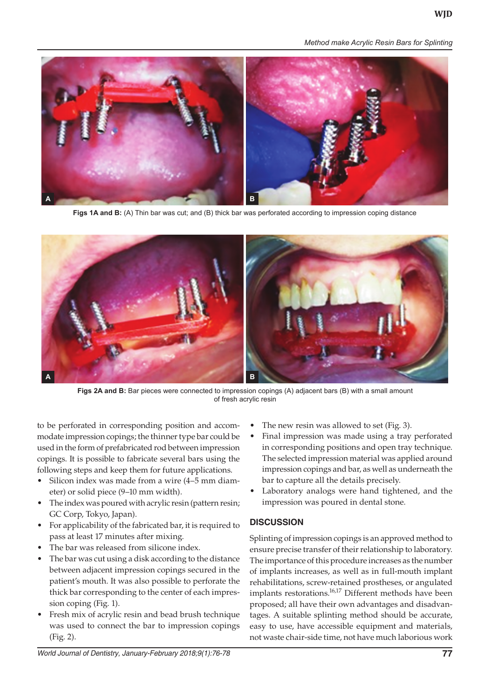*Method make Acrylic Resin Bars for Splinting*



**Figs 1A and B:** (A) Thin bar was cut; and (B) thick bar was perforated according to impression coping distance



**Figs 2A and B:** Bar pieces were connected to impression copings (A) adjacent bars (B) with a small amount of fresh acrylic resin

to be perforated in corresponding position and accommodate impression copings; the thinner type bar could be used in the form of prefabricated rod between impression copings. It is possible to fabricate several bars using the following steps and keep them for future applications.

- Silicon index was made from a wire  $(4-5$  mm diameter) or solid piece (9–10 mm width).
- The index was poured with acrylic resin (pattern resin; GC Corp, Tokyo, Japan).
- For applicability of the fabricated bar, it is required to pass at least 17 minutes after mixing.
- The bar was released from silicone index.
- The bar was cut using a disk according to the distance between adjacent impression copings secured in the patient's mouth. It was also possible to perforate the thick bar corresponding to the center of each impression coping (Fig. 1).
- Fresh mix of acrylic resin and bead brush technique was used to connect the bar to impression copings (Fig. 2).
- The new resin was allowed to set (Fig. 3).
- Final impression was made using a tray perforated in corresponding positions and open tray technique. The selected impression material was applied around impression copings and bar, as well as underneath the bar to capture all the details precisely.
- Laboratory analogs were hand tightened, and the impression was poured in dental stone.

#### **DISCUSSION**

Splinting of impression copings is an approved method to ensure precise transfer of their relationship to laboratory. The importance of this procedure increases as the number of implants increases, as well as in full-mouth implant rehabilitations, screw-retained prostheses, or angulated implants restorations.<sup>16,17</sup> Different methods have been proposed; all have their own advantages and disadvantages. A suitable splinting method should be accurate, easy to use, have accessible equipment and materials, not waste chair-side time, not have much laborious work